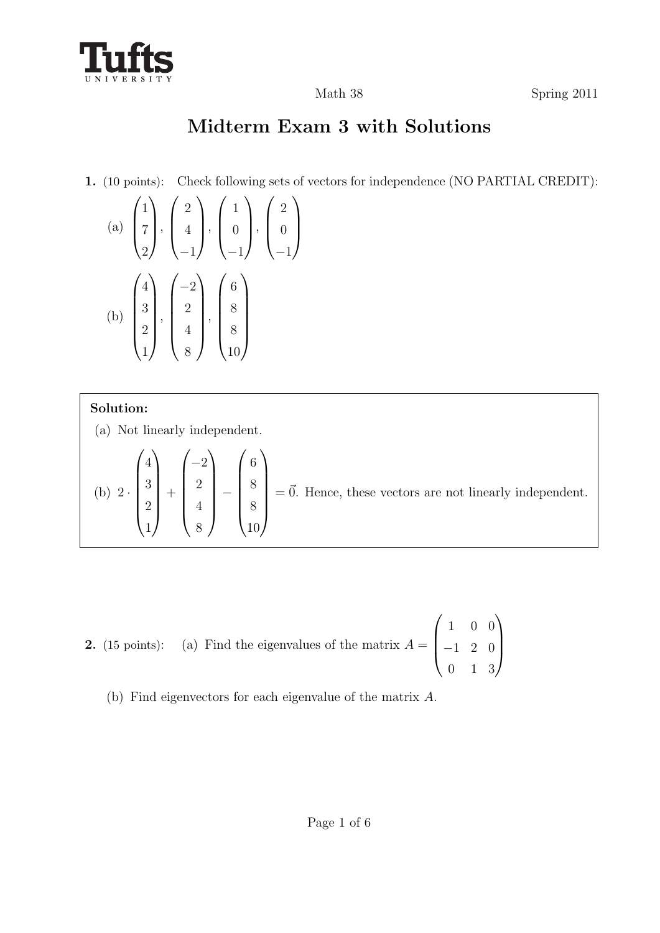

# **Midterm Exam 3 with Solutions**

**1.** (10 points): Check following sets of vectors for independence (NO PARTIAL CREDIT):

(a) 
$$
\begin{pmatrix} 1 \\ 7 \\ 2 \end{pmatrix}
$$
,  $\begin{pmatrix} 2 \\ 4 \\ -1 \end{pmatrix}$ ,  $\begin{pmatrix} 1 \\ 0 \\ -1 \end{pmatrix}$ ,  $\begin{pmatrix} 2 \\ 0 \\ -1 \end{pmatrix}$   
\n(b)  $\begin{pmatrix} 4 \\ 3 \\ 2 \\ 1 \end{pmatrix}$ ,  $\begin{pmatrix} -2 \\ 2 \\ 4 \\ 8 \end{pmatrix}$ ,  $\begin{pmatrix} 6 \\ 8 \\ 8 \\ 10 \end{pmatrix}$ 

### **Solution:**

(a) Not linearly independent.

(b) 
$$
2 \cdot \begin{pmatrix} 4 \\ 3 \\ 2 \\ 1 \end{pmatrix} + \begin{pmatrix} -2 \\ 2 \\ 4 \\ 8 \end{pmatrix} - \begin{pmatrix} 6 \\ 8 \\ 8 \\ 10 \end{pmatrix} = \vec{0}
$$
. Hence, these vectors are not linearly independent.

- **2.** (15 points): (a) Find the eigenvalues of the matrix  $A =$  $\sqrt{ }$  $\overline{\mathcal{L}}$ 1 0 0 *−*1 2 0 0 1 3  $\setminus$  $\overline{\phantom{a}}$ 
	- (b) Find eigenvectors for each eigenvalue of the matrix *A*.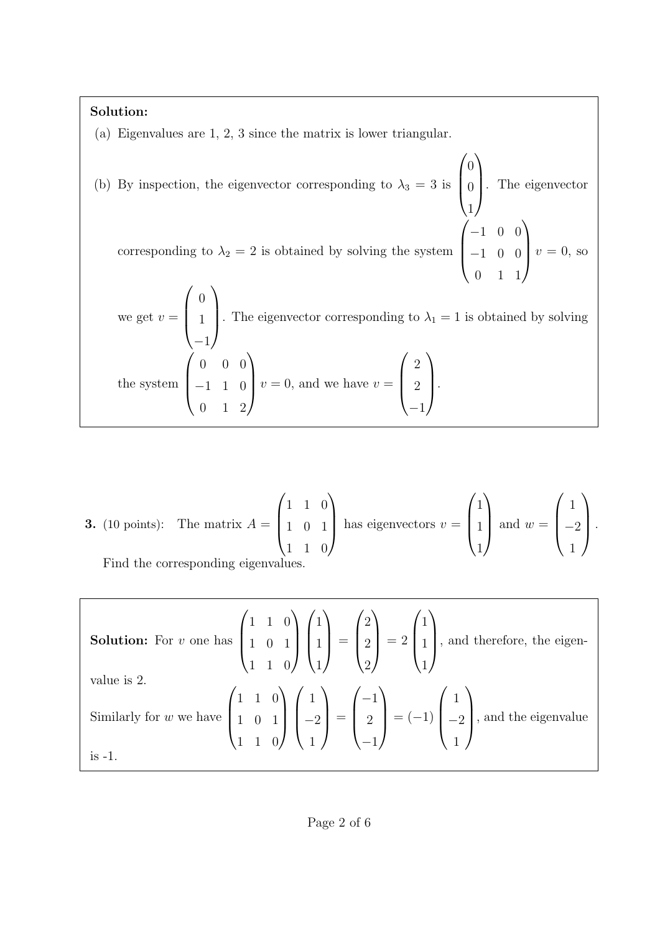#### **Solution:**

(a) Eigenvalues are 1, 2, 3 since the matrix is lower triangular.

(b) By inspection, the eigenvector corresponding to  $\lambda_3 = 3$  is  $\sqrt{ }$  $\vert$  $\theta$  $\theta$ 1  $\setminus$  . The eigenvector corresponding to  $\lambda_2 = 2$  is obtained by solving the system  $\sqrt{ }$  $\overline{\mathcal{L}}$ *−*1 0 0 *−*1 0 0 0 1 1  $\setminus$  $v = 0$ , so we get  $v =$  $\sqrt{ }$  $\vert$  $\overline{0}$ 1 *−*1  $\setminus$ . The eigenvector corresponding to  $\lambda_1 = 1$  is obtained by solving the system  $\sqrt{ }$  $\overline{\phantom{a}}$ 0 0 0 *−*1 1 0 0 1 2  $\setminus$  $v = 0$ , and we have  $v =$  $\sqrt{ }$  $\overline{\mathcal{L}}$ 2 2 *−*1  $\setminus$  $\int$ 

**3.** (10 points): The matrix 
$$
A = \begin{pmatrix} 1 & 1 & 0 \ 1 & 0 & 1 \ 1 & 1 & 0 \end{pmatrix}
$$
 has eigenvectors  $v = \begin{pmatrix} 1 \ 1 \ 1 \end{pmatrix}$  and  $w = \begin{pmatrix} 1 \ -2 \ 1 \end{pmatrix}$ .  
Find the corresponding eigenvalues

ne corresponding eigenvalues.

**Solution:** For *v* one has 
$$
\begin{pmatrix} 1 & 1 & 0 \\ 1 & 0 & 1 \\ 1 & 1 & 0 \end{pmatrix} \begin{pmatrix} 1 \\ 1 \\ 1 \end{pmatrix} = \begin{pmatrix} 2 \\ 2 \\ 2 \end{pmatrix} = 2 \begin{pmatrix} 1 \\ 1 \\ 1 \end{pmatrix}
$$
, and therefore, the eigenvalue is 2.  
Similarly for *w* we have  $\begin{pmatrix} 1 & 1 & 0 \\ 1 & 0 & 1 \\ 1 & 1 & 0 \end{pmatrix} \begin{pmatrix} 1 \\ -2 \\ 1 \end{pmatrix} = \begin{pmatrix} -1 \\ 2 \\ -1 \end{pmatrix} = (-1) \begin{pmatrix} 1 \\ -2 \\ 1 \end{pmatrix}$ , and the eigenvalue is -1.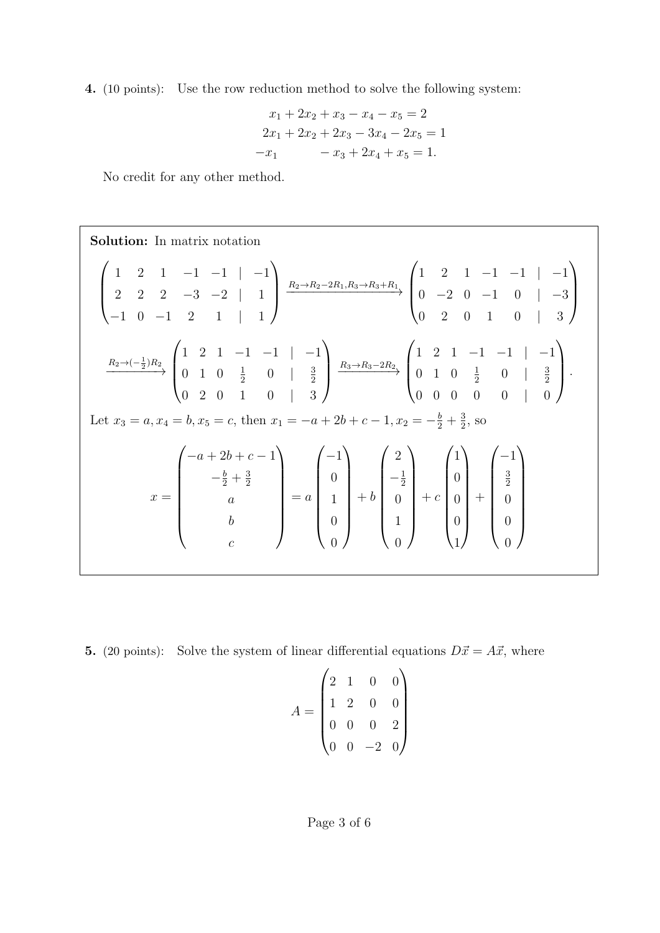**4.** (10 points): Use the row reduction method to solve the following system:

$$
x_1 + 2x_2 + x_3 - x_4 - x_5 = 2
$$
  
\n
$$
2x_1 + 2x_2 + 2x_3 - 3x_4 - 2x_5 = 1
$$
  
\n
$$
-x_1 - x_3 + 2x_4 + x_5 = 1.
$$

No credit for any other method.

Solution: In matrix notation  
\n
$$
\begin{pmatrix}\n1 & 2 & 1 & -1 & -1 & | & -1 \\
2 & 2 & 2 & -3 & -2 & | & 1 \\
-1 & 0 & -1 & 2 & 1 & | & 1\n\end{pmatrix}\n\xrightarrow{R_2 \to R_2 - 2R_1, R_3 \to R_3 + R_1}\n\begin{pmatrix}\n1 & 2 & 1 & -1 & -1 & | & -1 \\
0 & -2 & 0 & -1 & 0 & | & -3 \\
0 & 2 & 0 & 1 & 0 & | & 3\n\end{pmatrix}
$$
\n
$$
\xrightarrow{R_2 \to (-\frac{1}{2})R_2}\n\begin{pmatrix}\n1 & 2 & 1 & -1 & -1 & | & -1 \\
0 & 1 & 0 & \frac{1}{2} & 0 & | & \frac{3}{2} \\
0 & 2 & 0 & 1 & 0 & | & 3\n\end{pmatrix}\n\xrightarrow{R_3 \to R_3 - 2R_2}\n\begin{pmatrix}\n1 & 2 & 1 & -1 & -1 & | & -1 \\
0 & 1 & 0 & \frac{1}{2} & 0 & | & \frac{3}{2} \\
0 & 0 & 0 & 0 & 0 & | & 0\n\end{pmatrix}.
$$
\nLet  $x_3 = a, x_4 = b, x_5 = c$ , then  $x_1 = -a + 2b + c - 1, x_2 = -\frac{b}{2} + \frac{3}{2}$ , so\n
$$
x = \begin{pmatrix}\n-a + 2b + c - 1 \\
-\frac{b}{2} + \frac{3}{2} \\
a \\
b \\
c\n\end{pmatrix} = a \begin{pmatrix}\n-1 \\
0 \\
1 \\
0 \\
0\n\end{pmatrix} + b \begin{pmatrix}\n2 \\
-\frac{1}{2} \\
0 \\
1 \\
0\n\end{pmatrix} + c \begin{pmatrix}\n1 \\
0 \\
0 \\
0 \\
1\n\end{pmatrix} + c \begin{pmatrix}\n-1 \\
0 \\
0 \\
0 \\
1\n\end{pmatrix} + \begin{pmatrix}\n-1 \\
\frac{3}{2} \\
0 \\
0 \\
0 \\
0\n\end{pmatrix}
$$

**5.** (20 points): Solve the system of linear differential equations  $D\vec{x} = A\vec{x}$ , where

$$
A = \begin{pmatrix} 2 & 1 & 0 & 0 \\ 1 & 2 & 0 & 0 \\ 0 & 0 & 0 & 2 \\ 0 & 0 & -2 & 0 \end{pmatrix}
$$

## Page 3 of 6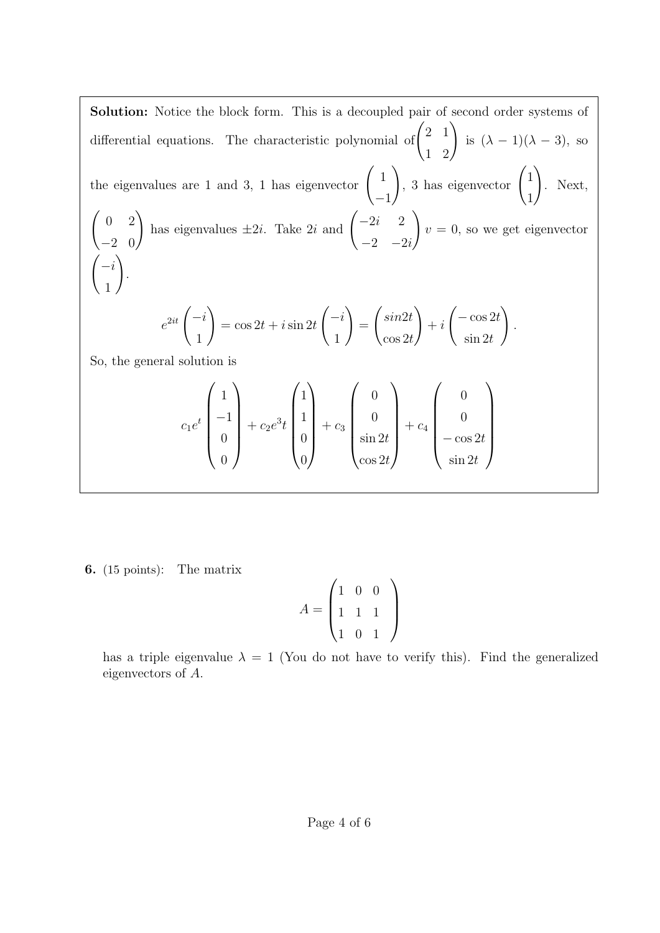**Solution:** Notice the block form. This is a decoupled pair of second order systems of differential equations. The characteristic polynomial of 
$$
\begin{pmatrix} 2 & 1 \ 1 & 2 \end{pmatrix}
$$
 is  $(\lambda - 1)(\lambda - 3)$ , so the eigenvalues are 1 and 3, 1 has eigenvector  $\begin{pmatrix} 1 \ -1 \end{pmatrix}$ , 3 has eigenvector  $\begin{pmatrix} 1 \ 1 \end{pmatrix}$ . Next,  $\begin{pmatrix} 0 & 2 \ -2 & 0 \end{pmatrix}$  has eigenvalues  $\pm 2i$ . Take  $2i$  and  $\begin{pmatrix} -2i & 2 \ -2-i & -2i \end{pmatrix}$   $v = 0$ , so we get eigenvector  $\begin{pmatrix} -i \ -1 \ 1 \end{pmatrix}$ .  
  
 $e^{2it} \begin{pmatrix} -i \ 1 \end{pmatrix} = \cos 2t + i \sin 2t \begin{pmatrix} -i \ 1 \end{pmatrix} = \begin{pmatrix} \sin 2t \ \cos 2t \end{pmatrix} + i \begin{pmatrix} -\cos 2t \ \sin 2t \end{pmatrix}$ .  
So, the general solution is  
 $c_1 e^t \begin{pmatrix} 1 \ -1 \ 0 \end{pmatrix} + c_2 e^{3t} \begin{pmatrix} 1 \ 1 \ 0 \end{pmatrix} + c_3 \begin{pmatrix} 0 \ \sin 2t \ \sin 2t \end{pmatrix} + c_4 \begin{pmatrix} 0 \ -\cos 2t \ \cos 2t \end{pmatrix}$ 

**6.** (15 points): The matrix

$$
A = \begin{pmatrix} 1 & 0 & 0 \\ 1 & 1 & 1 \\ 1 & 0 & 1 \end{pmatrix}
$$

has a triple eigenvalue  $\lambda = 1$  (You do not have to verify this). Find the generalized eigenvectors of *A.*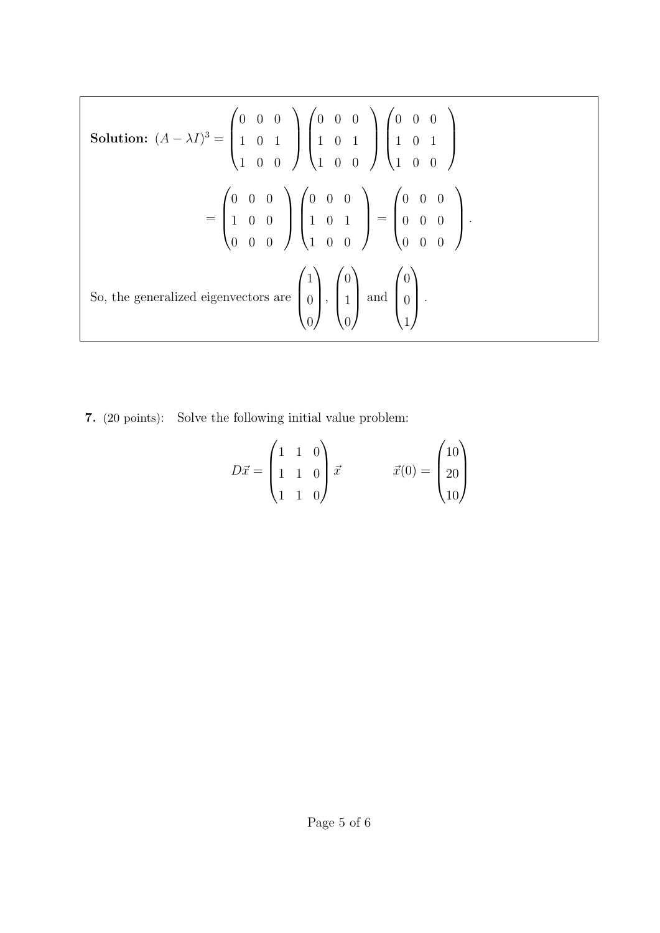Solution: 
$$
(A - \lambda I)^3 = \begin{pmatrix} 0 & 0 & 0 \\ 1 & 0 & 1 \\ 1 & 0 & 0 \end{pmatrix} \begin{pmatrix} 0 & 0 & 0 \\ 1 & 0 & 1 \\ 1 & 0 & 0 \end{pmatrix} \begin{pmatrix} 0 & 0 & 0 \\ 1 & 0 & 1 \\ 1 & 0 & 0 \end{pmatrix}
$$
  

$$
= \begin{pmatrix} 0 & 0 & 0 \\ 1 & 0 & 0 \\ 0 & 0 & 0 \end{pmatrix} \begin{pmatrix} 0 & 0 & 0 \\ 1 & 0 & 1 \\ 1 & 0 & 0 \end{pmatrix} = \begin{pmatrix} 0 & 0 & 0 \\ 0 & 0 & 0 \\ 0 & 0 & 0 \end{pmatrix}.
$$
  
So, the generalized eigenvectors are  $\begin{pmatrix} 1 \\ 0 \\ 0 \end{pmatrix}$ ,  $\begin{pmatrix} 0 \\ 1 \\ 0 \end{pmatrix}$  and  $\begin{pmatrix} 0 \\ 0 \\ 1 \end{pmatrix}$ .

**7.** (20 points): Solve the following initial value problem:

$$
D\vec{x} = \begin{pmatrix} 1 & 1 & 0 \\ 1 & 1 & 0 \\ 1 & 1 & 0 \end{pmatrix} \vec{x} \qquad \qquad \vec{x}(0) = \begin{pmatrix} 10 \\ 20 \\ 10 \end{pmatrix}
$$